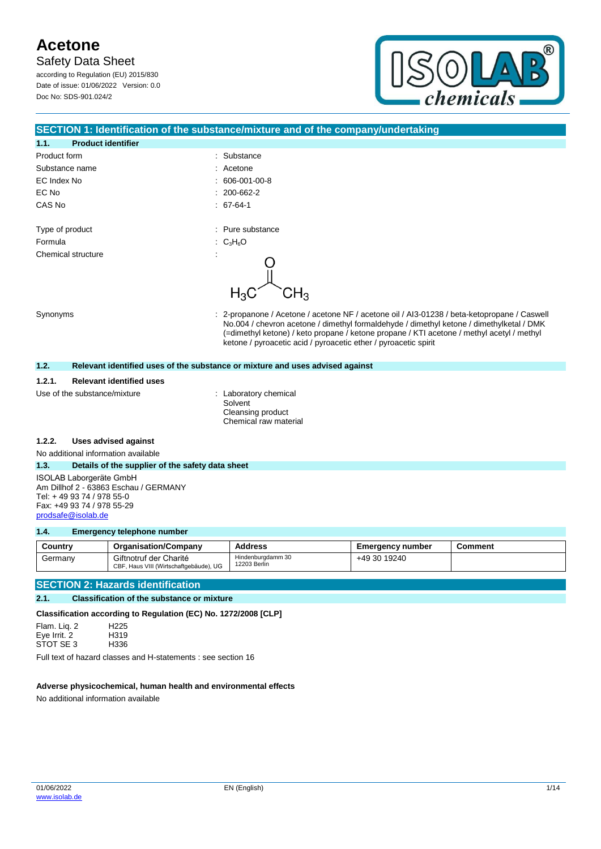**Safety Data Sheet** 

according to Regulation (EU) 2015/830 Date of issue: 01/06/2022 Version: 0.0 Doc No: SDS-901.024/2



### **SECTION 1: Identification of the substance/mixture and of the company/undertaking**

| 1.1.         | <b>Product identifier</b> |                          |
|--------------|---------------------------|--------------------------|
| Product form |                           | Substance<br>÷.          |
|              | Substance name            | : Acetone                |
| EC Index No  |                           | 606-001-00-8             |
| EC No        |                           | $: 200 - 662 - 2$        |
| CAS No       |                           | $.67-64-1$               |
|              |                           |                          |
|              | Type of product           | : Pure substance         |
| Formula      |                           | : $C_3H_6O$              |
|              | Chemical structure        | $\overline{\phantom{a}}$ |
|              |                           |                          |
|              |                           |                          |

Synonyms **Synonyms** : 2-propanone / Acetone / acetone NF / acetone oil / AI3-01238 / beta-ketopropane / Caswell No.004 / chevron acetone / dimethyl formaldehyde / dimethyl ketone / dimethylketal / DMK (=dimethyl ketone) / keto propane / ketone propane / KTI acetone / methyl acetyl / methyl ketone / pyroacetic acid / pyroacetic ether / pyroacetic spirit

### **1.2. Relevant identified uses of the substance or mixture and uses advised against**

### **1.2.1. Relevant identified uses**

Use of the substance/mixture : Laboratory chemical

Solvent Cleansing product Chemical raw material

### **1.2.2. Uses advised against**

No additional information available

### **1.3. Details of the supplier of the safety data sheet**

ISOLAB Laborgeräte GmbH Am Dillhof 2 - 63863 Eschau / GERMANY Tel: + 49 93 74 / 978 55-0 Fax: +49 93 74 / 978 55-29 [prodsafe@isolab.de](mailto:prodsafe@isolab.de)

### **1.4. Emergency telephone number**

| Country | <b>Organisation/Company</b>                                      | <b>Address</b>                    | <b>Emergency number</b> | <b>Comment</b> |
|---------|------------------------------------------------------------------|-----------------------------------|-------------------------|----------------|
| Germany | Giftnotruf der Charité<br>CBF, Haus VIII (Wirtschaftgebäude), UG | Hindenburgdamm 30<br>12203 Berlin | +49 30 19240            |                |

### **SECTION 2: Hazards identification**

### **2.1. Classification of the substance or mixture**

**Classification according to Regulation (EC) No. 1272/2008 [CLP]**

Flam. Liq. 2 H225 Eye Irrit. 2 H319<br>STOT SE 3 H336 STOT SE 3

Full text of hazard classes and H-statements : see section 16

### **Adverse physicochemical, human health and environmental effects**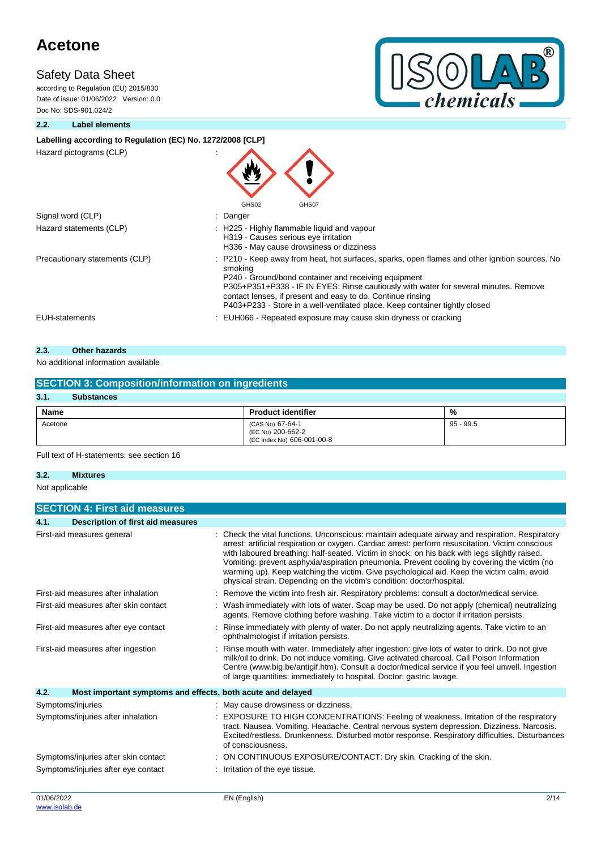### **Safety Data Sheet**

according to Regulation (EU) 2015/830 Date of issue: 01/06/2022 Version: 0.0 Doc No: SDS-901.024/2



### **2.2. Label elements**

### Labelling according to Regulation (EC) No. 1272/2008 [CLP]

Hazard pictograms (CLP) :

| Hazard pictograms (CLP)        | GHS02<br>GHS07                                                                                                                                                                                                                                                                                                                                                                                          |
|--------------------------------|---------------------------------------------------------------------------------------------------------------------------------------------------------------------------------------------------------------------------------------------------------------------------------------------------------------------------------------------------------------------------------------------------------|
| Signal word (CLP)              | : Danger                                                                                                                                                                                                                                                                                                                                                                                                |
| Hazard statements (CLP)        | : H225 - Highly flammable liquid and vapour<br>H319 - Causes serious eye irritation<br>H336 - May cause drowsiness or dizziness                                                                                                                                                                                                                                                                         |
| Precautionary statements (CLP) | : P210 - Keep away from heat, hot surfaces, sparks, open flames and other ignition sources. No<br>smoking<br>P240 - Ground/bond container and receiving equipment<br>P305+P351+P338 - IF IN EYES: Rinse cautiously with water for several minutes. Remove<br>contact lenses, if present and easy to do. Continue rinsing<br>P403+P233 - Store in a well-ventilated place. Keep container tightly closed |
| <b>EUH-statements</b>          | : EUH066 - Repeated exposure may cause skin dryness or cracking                                                                                                                                                                                                                                                                                                                                         |
|                                |                                                                                                                                                                                                                                                                                                                                                                                                         |

### **2.3. Other hazards**

### No additional information available

| <b>SECTION 3: Composition/information on ingredients</b> |                                                                     |             |  |  |
|----------------------------------------------------------|---------------------------------------------------------------------|-------------|--|--|
| 3.1.<br><b>Substances</b>                                |                                                                     |             |  |  |
| Name                                                     | <b>Product identifier</b>                                           | %           |  |  |
| Acetone                                                  | (CAS No) 67-64-1<br>(EC No) 200-662-2<br>(EC Index No) 606-001-00-8 | $95 - 99.5$ |  |  |

Full text of H-statements: see section 16

### **3.2. Mixtures**

Not applicable

|                                       | <b>SECTION 4: First aid measures</b>                        |                                                                                                                                                                                                                                                                                                                                                                                                                                                                                                                                                                            |  |
|---------------------------------------|-------------------------------------------------------------|----------------------------------------------------------------------------------------------------------------------------------------------------------------------------------------------------------------------------------------------------------------------------------------------------------------------------------------------------------------------------------------------------------------------------------------------------------------------------------------------------------------------------------------------------------------------------|--|
| 4.1.                                  | <b>Description of first aid measures</b>                    |                                                                                                                                                                                                                                                                                                                                                                                                                                                                                                                                                                            |  |
|                                       | First-aid measures general                                  | Check the vital functions. Unconscious: maintain adequate airway and respiration. Respiratory<br>arrest: artificial respiration or oxygen. Cardiac arrest: perform resuscitation. Victim conscious<br>with laboured breathing: half-seated. Victim in shock: on his back with legs slightly raised.<br>Vomiting: prevent asphyxia/aspiration pneumonia. Prevent cooling by covering the victim (no<br>warming up). Keep watching the victim. Give psychological aid. Keep the victim calm, avoid<br>physical strain. Depending on the victim's condition: doctor/hospital. |  |
|                                       | First-aid measures after inhalation                         | Remove the victim into fresh air. Respiratory problems: consult a doctor/medical service.                                                                                                                                                                                                                                                                                                                                                                                                                                                                                  |  |
| First-aid measures after skin contact |                                                             | Wash immediately with lots of water. Soap may be used. Do not apply (chemical) neutralizing<br>agents. Remove clothing before washing. Take victim to a doctor if irritation persists.                                                                                                                                                                                                                                                                                                                                                                                     |  |
| First-aid measures after eye contact  |                                                             | Rinse immediately with plenty of water. Do not apply neutralizing agents. Take victim to an<br>ophthalmologist if irritation persists.                                                                                                                                                                                                                                                                                                                                                                                                                                     |  |
| First-aid measures after ingestion    |                                                             | Rinse mouth with water. Immediately after ingestion: give lots of water to drink. Do not give<br>milk/oil to drink. Do not induce vomiting. Give activated charcoal. Call Poison Information<br>Centre (www.big.be/antigif.htm). Consult a doctor/medical service if you feel unwell. Ingestion<br>of large quantities: immediately to hospital. Doctor: gastric lavage.                                                                                                                                                                                                   |  |
| 4.2.                                  | Most important symptoms and effects, both acute and delayed |                                                                                                                                                                                                                                                                                                                                                                                                                                                                                                                                                                            |  |
|                                       | Symptoms/injuries                                           | May cause drowsiness or dizziness.                                                                                                                                                                                                                                                                                                                                                                                                                                                                                                                                         |  |
|                                       | Symptoms/injuries after inhalation                          | <b>EXPOSURE TO HIGH CONCENTRATIONS: Feeling of weakness. Irritation of the respiratory</b><br>tract. Nausea. Vomiting. Headache. Central nervous system depression. Dizziness. Narcosis.<br>Excited/restless. Drunkenness. Disturbed motor response. Respiratory difficulties. Disturbances<br>of consciousness.                                                                                                                                                                                                                                                           |  |
|                                       | Symptoms/injuries after skin contact                        | ON CONTINUOUS EXPOSURE/CONTACT: Dry skin. Cracking of the skin.                                                                                                                                                                                                                                                                                                                                                                                                                                                                                                            |  |
|                                       | Symptoms/injuries after eye contact                         | Irritation of the eye tissue.                                                                                                                                                                                                                                                                                                                                                                                                                                                                                                                                              |  |
| 01/06/2022                            |                                                             | 2/14<br>EN (English)                                                                                                                                                                                                                                                                                                                                                                                                                                                                                                                                                       |  |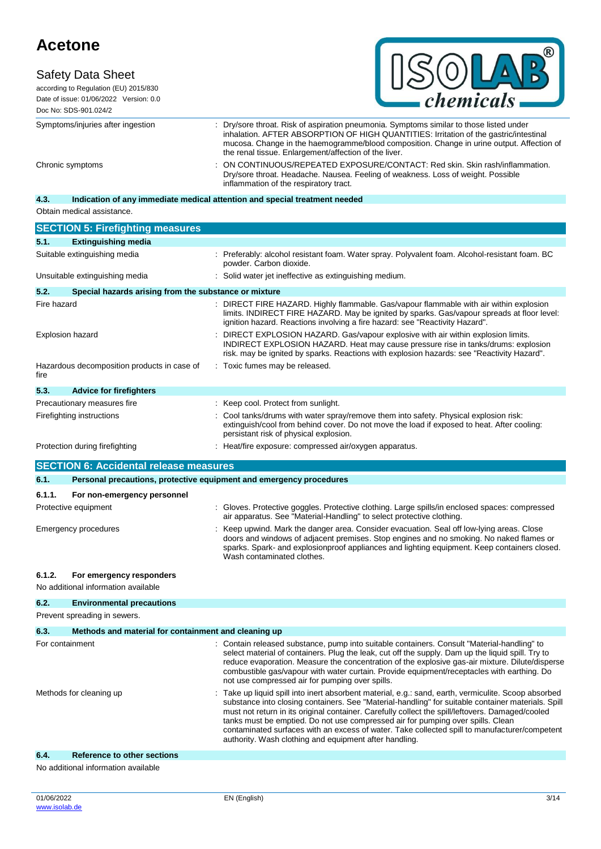### **Safety Data Sheet**



according to Regulation (EU) 2015/830 Date of issue: 01/06/2022 Version: 0.0 Doc No: SDS-901.024/2

Symptoms/injuries after ingestion : Dry/sore throat. Risk of aspiration pneumonia. Symptoms similar to those listed under inhalation. AFTER ABSORPTION OF HIGH QUANTITIES: Irritation of the gastric/intestinal mucosa. Change in the haemogramme/blood composition. Change in urine output. Affection of the renal tissue. Enlargement/affection of the liver. Chronic symptoms : ON CONTINUOUS/REPEATED EXPOSURE/CONTACT: Red skin. Skin rash/inflammation. Dry/sore throat. Headache. Nausea. Feeling of weakness. Loss of weight. Possible inflammation of the respiratory tract.

### **4.3. Indication of any immediate medical attention and special treatment needed**

Obtain medical assistance.

|                         | <b>SECTION 5: Firefighting measures</b>                             |                                                                                                                                                                                                                                                                                                                                                                                                                                                                                                                                                            |
|-------------------------|---------------------------------------------------------------------|------------------------------------------------------------------------------------------------------------------------------------------------------------------------------------------------------------------------------------------------------------------------------------------------------------------------------------------------------------------------------------------------------------------------------------------------------------------------------------------------------------------------------------------------------------|
| 5.1.                    | <b>Extinguishing media</b>                                          |                                                                                                                                                                                                                                                                                                                                                                                                                                                                                                                                                            |
|                         | Suitable extinguishing media                                        | : Preferably: alcohol resistant foam. Water spray. Polyvalent foam. Alcohol-resistant foam. BC<br>powder. Carbon dioxide.                                                                                                                                                                                                                                                                                                                                                                                                                                  |
|                         | Unsuitable extinguishing media                                      | Solid water jet ineffective as extinguishing medium.                                                                                                                                                                                                                                                                                                                                                                                                                                                                                                       |
| 5.2.                    | Special hazards arising from the substance or mixture               |                                                                                                                                                                                                                                                                                                                                                                                                                                                                                                                                                            |
| Fire hazard             |                                                                     | : DIRECT FIRE HAZARD. Highly flammable. Gas/vapour flammable with air within explosion<br>limits. INDIRECT FIRE HAZARD. May be ignited by sparks. Gas/vapour spreads at floor level:<br>ignition hazard. Reactions involving a fire hazard: see "Reactivity Hazard".                                                                                                                                                                                                                                                                                       |
|                         | <b>Explosion hazard</b>                                             | DIRECT EXPLOSION HAZARD. Gas/vapour explosive with air within explosion limits.<br>INDIRECT EXPLOSION HAZARD. Heat may cause pressure rise in tanks/drums: explosion<br>risk, may be ignited by sparks. Reactions with explosion hazards: see "Reactivity Hazard".                                                                                                                                                                                                                                                                                         |
| fire                    | Hazardous decomposition products in case of                         | Toxic fumes may be released.                                                                                                                                                                                                                                                                                                                                                                                                                                                                                                                               |
| 5.3.                    | <b>Advice for firefighters</b>                                      |                                                                                                                                                                                                                                                                                                                                                                                                                                                                                                                                                            |
|                         | Precautionary measures fire                                         | : Keep cool. Protect from sunlight.                                                                                                                                                                                                                                                                                                                                                                                                                                                                                                                        |
|                         | Firefighting instructions                                           | Cool tanks/drums with water spray/remove them into safety. Physical explosion risk:<br>extinguish/cool from behind cover. Do not move the load if exposed to heat. After cooling:<br>persistant risk of physical explosion.                                                                                                                                                                                                                                                                                                                                |
|                         | Protection during firefighting                                      | : Heat/fire exposure: compressed air/oxygen apparatus.                                                                                                                                                                                                                                                                                                                                                                                                                                                                                                     |
|                         | <b>SECTION 6: Accidental release measures</b>                       |                                                                                                                                                                                                                                                                                                                                                                                                                                                                                                                                                            |
| 6.1.                    | Personal precautions, protective equipment and emergency procedures |                                                                                                                                                                                                                                                                                                                                                                                                                                                                                                                                                            |
|                         |                                                                     |                                                                                                                                                                                                                                                                                                                                                                                                                                                                                                                                                            |
| 6.1.1.                  | For non-emergency personnel                                         |                                                                                                                                                                                                                                                                                                                                                                                                                                                                                                                                                            |
|                         | Protective equipment                                                | : Gloves. Protective goggles. Protective clothing. Large spills/in enclosed spaces: compressed<br>air apparatus. See "Material-Handling" to select protective clothing.                                                                                                                                                                                                                                                                                                                                                                                    |
|                         | Emergency procedures                                                | Keep upwind. Mark the danger area. Consider evacuation. Seal off low-lying areas. Close<br>doors and windows of adjacent premises. Stop engines and no smoking. No naked flames or<br>sparks. Spark- and explosionproof appliances and lighting equipment. Keep containers closed.<br>Wash contaminated clothes.                                                                                                                                                                                                                                           |
| 6.1.2.                  | For emergency responders                                            |                                                                                                                                                                                                                                                                                                                                                                                                                                                                                                                                                            |
|                         | No additional information available                                 |                                                                                                                                                                                                                                                                                                                                                                                                                                                                                                                                                            |
| 6.2.                    | <b>Environmental precautions</b>                                    |                                                                                                                                                                                                                                                                                                                                                                                                                                                                                                                                                            |
|                         | Prevent spreading in sewers.                                        |                                                                                                                                                                                                                                                                                                                                                                                                                                                                                                                                                            |
| 6.3.                    | Methods and material for containment and cleaning up                |                                                                                                                                                                                                                                                                                                                                                                                                                                                                                                                                                            |
|                         | For containment                                                     | Contain released substance, pump into suitable containers. Consult "Material-handling" to<br>select material of containers. Plug the leak, cut off the supply. Dam up the liquid spill. Try to<br>reduce evaporation. Measure the concentration of the explosive gas-air mixture. Dilute/disperse<br>combustible gas/vapour with water curtain. Provide equipment/receptacles with earthing. Do<br>not use compressed air for pumping over spills.                                                                                                         |
| Methods for cleaning up |                                                                     | Take up liquid spill into inert absorbent material, e.g.: sand, earth, vermiculite. Scoop absorbed<br>substance into closing containers. See "Material-handling" for suitable container materials. Spill<br>must not return in its original container. Carefully collect the spill/leftovers. Damaged/cooled<br>tanks must be emptied. Do not use compressed air for pumping over spills. Clean<br>contaminated surfaces with an excess of water. Take collected spill to manufacturer/competent<br>authority. Wash clothing and equipment after handling. |

### **6.4. Reference to other sections**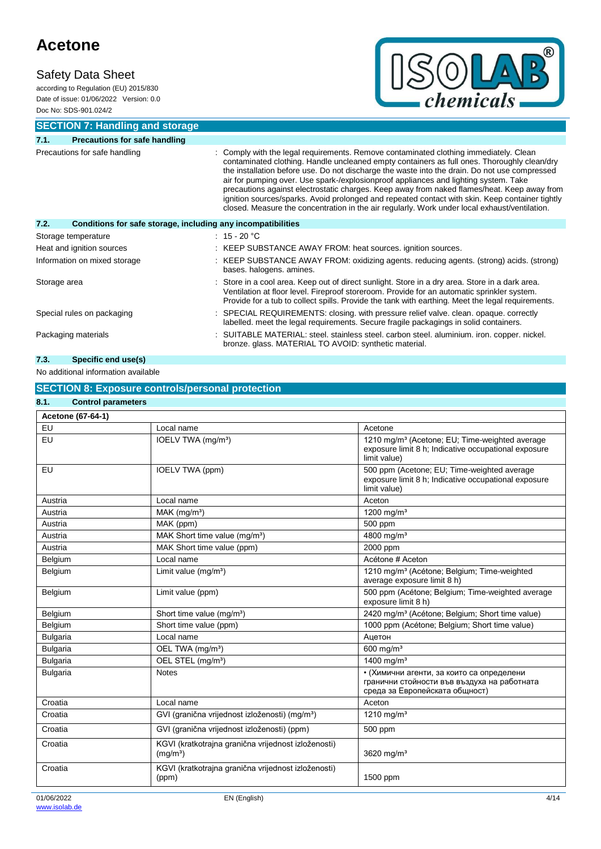### **Safety Data Sheet**

according to Regulation (EU) 2015/830 Date of issue: 01/06/2022 Version: 0.0 Doc No: SDS-901.024/2



**SECTION 7: Handling and storage**

| 7.1.                          | <b>Precautions for safe handling</b>                         |                                                                                                                                                                                                                                                                                                                                                                                                                                                                                                                                                                                                                                                                                  |  |
|-------------------------------|--------------------------------------------------------------|----------------------------------------------------------------------------------------------------------------------------------------------------------------------------------------------------------------------------------------------------------------------------------------------------------------------------------------------------------------------------------------------------------------------------------------------------------------------------------------------------------------------------------------------------------------------------------------------------------------------------------------------------------------------------------|--|
| Precautions for safe handling |                                                              | : Comply with the legal requirements. Remove contaminated clothing immediately. Clean<br>contaminated clothing. Handle uncleaned empty containers as full ones. Thoroughly clean/dry<br>the installation before use. Do not discharge the waste into the drain. Do not use compressed<br>air for pumping over. Use spark-/explosionproof appliances and lighting system. Take<br>precautions against electrostatic charges. Keep away from naked flames/heat. Keep away from<br>ignition sources/sparks. Avoid prolonged and repeated contact with skin. Keep container tightly<br>closed. Measure the concentration in the air regularly. Work under local exhaust/ventilation. |  |
| 7.2.                          | Conditions for safe storage, including any incompatibilities |                                                                                                                                                                                                                                                                                                                                                                                                                                                                                                                                                                                                                                                                                  |  |
|                               | Storage temperature                                          | $: 15 - 20 °C$                                                                                                                                                                                                                                                                                                                                                                                                                                                                                                                                                                                                                                                                   |  |
|                               | Heat and ignition sources                                    | : KEEP SUBSTANCE AWAY FROM: heat sources. ignition sources.                                                                                                                                                                                                                                                                                                                                                                                                                                                                                                                                                                                                                      |  |
| Information on mixed storage  |                                                              | : KEEP SUBSTANCE AWAY FROM: oxidizing agents. reducing agents. (strong) acids. (strong)<br>bases. halogens. amines.                                                                                                                                                                                                                                                                                                                                                                                                                                                                                                                                                              |  |
| Storage area                  |                                                              | : Store in a cool area. Keep out of direct sunlight. Store in a dry area. Store in a dark area.<br>Ventilation at floor level. Fireproof storeroom. Provide for an automatic sprinkler system.<br>Provide for a tub to collect spills. Provide the tank with earthing. Meet the legal requirements.                                                                                                                                                                                                                                                                                                                                                                              |  |
| Special rules on packaging    |                                                              | : SPECIAL REQUIREMENTS: closing. with pressure relief valve. clean. opaque. correctly<br>labelled. meet the legal requirements. Secure fragile packagings in solid containers.                                                                                                                                                                                                                                                                                                                                                                                                                                                                                                   |  |
|                               | Packaging materials                                          | : SUITABLE MATERIAL: steel. stainless steel. carbon steel. aluminium. iron. copper. nickel.<br>bronze. glass. MATERIAL TO AVOID: synthetic material.                                                                                                                                                                                                                                                                                                                                                                                                                                                                                                                             |  |

### **7.3. Specific end use(s)**

No additional information available

### **SECTION 8: Exposure controls/personal protection**

| 8.1.<br><b>Control parameters</b> |                                                                             |                                                                                                                                    |
|-----------------------------------|-----------------------------------------------------------------------------|------------------------------------------------------------------------------------------------------------------------------------|
| Acetone (67-64-1)                 |                                                                             |                                                                                                                                    |
| EU                                | Local name                                                                  | Acetone                                                                                                                            |
| EU                                | IOELV TWA (mg/m <sup>3</sup> )                                              | 1210 mg/m <sup>3</sup> (Acetone: EU: Time-weighted average<br>exposure limit 8 h; Indicative occupational exposure<br>limit value) |
| EU                                | IOELV TWA (ppm)                                                             | 500 ppm (Acetone; EU; Time-weighted average<br>exposure limit 8 h; Indicative occupational exposure<br>limit value)                |
| Austria                           | Local name                                                                  | Aceton                                                                                                                             |
| Austria                           | $MAK$ (mg/m <sup>3</sup> )                                                  | 1200 mg/m <sup>3</sup>                                                                                                             |
| Austria                           | MAK (ppm)                                                                   | 500 ppm                                                                                                                            |
| Austria                           | MAK Short time value (mg/m <sup>3</sup> )                                   | 4800 mg/m <sup>3</sup>                                                                                                             |
| Austria                           | MAK Short time value (ppm)                                                  | 2000 ppm                                                                                                                           |
| Belgium                           | Local name                                                                  | Acétone # Aceton                                                                                                                   |
| Belgium                           | Limit value (mg/m <sup>3</sup> )                                            | 1210 mg/m <sup>3</sup> (Acétone; Belgium; Time-weighted<br>average exposure limit 8 h)                                             |
| Belgium                           | Limit value (ppm)                                                           | 500 ppm (Acétone; Belgium; Time-weighted average<br>exposure limit 8 h)                                                            |
| Belgium                           | Short time value (mg/m <sup>3</sup> )                                       | 2420 mg/m <sup>3</sup> (Acétone; Belgium; Short time value)                                                                        |
| Belgium                           | Short time value (ppm)                                                      | 1000 ppm (Acétone; Belgium; Short time value)                                                                                      |
| <b>Bulgaria</b>                   | Local name                                                                  | Ацетон                                                                                                                             |
| <b>Bulgaria</b>                   | OEL TWA (mg/m <sup>3</sup> )                                                | 600 mg/m <sup>3</sup>                                                                                                              |
| <b>Bulgaria</b>                   | OEL STEL (mg/m <sup>3</sup> )                                               | 1400 mg/m <sup>3</sup>                                                                                                             |
| <b>Bulgaria</b>                   | <b>Notes</b>                                                                | • (Химични агенти, за които са определени<br>гранични стойности във въздуха на работната<br>среда за Европейската общност)         |
| Croatia                           | Local name                                                                  | Aceton                                                                                                                             |
| Croatia                           | GVI (granična vrijednost izloženosti) (mg/m <sup>3</sup> )                  | 1210 mg/m <sup>3</sup>                                                                                                             |
| Croatia                           | GVI (granična vrijednost izloženosti) (ppm)                                 | 500 ppm                                                                                                                            |
| Croatia                           | KGVI (kratkotrajna granična vrijednost izloženosti)<br>(mg/m <sup>3</sup> ) | 3620 mg/ $m3$                                                                                                                      |
| Croatia                           | KGVI (kratkotrajna granična vrijednost izloženosti)<br>(ppm)                | 1500 ppm                                                                                                                           |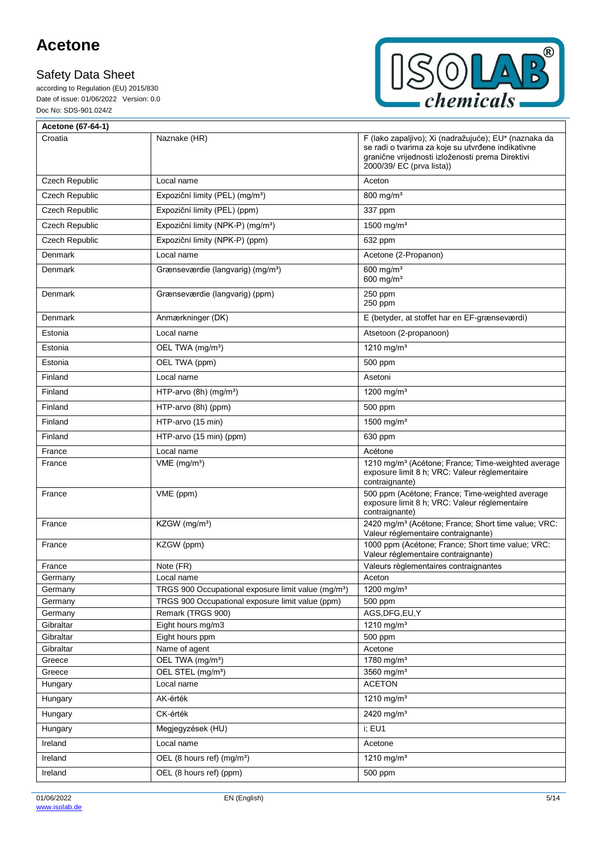according to Regulation (EU) 2015/830 Date of issue: 01/06/2022 Version: 0.0 Doc No: SDS-901.024/2



| Acetone (67-64-1)     |                                                                       |                                                                                                                                                                                             |
|-----------------------|-----------------------------------------------------------------------|---------------------------------------------------------------------------------------------------------------------------------------------------------------------------------------------|
| Croatia               | Naznake (HR)                                                          | F (lako zapaljivo); Xi (nadražujuće); EU* (naznaka da<br>se radi o tvarima za koje su utvrđene indikativne<br>granične vrijednosti izloženosti prema Direktivi<br>2000/39/ EC (prva lista)) |
| <b>Czech Republic</b> | Local name                                                            | Aceton                                                                                                                                                                                      |
| Czech Republic        | Expoziční limity (PEL) (mg/m <sup>3</sup> )                           | $800$ mg/m <sup>3</sup>                                                                                                                                                                     |
| Czech Republic        | Expoziční limity (PEL) (ppm)                                          | 337 ppm                                                                                                                                                                                     |
| Czech Republic        | Expoziční limity (NPK-P) (mg/m <sup>3</sup> )                         | 1500 mg/m <sup>3</sup>                                                                                                                                                                      |
| Czech Republic        | Expoziční limity (NPK-P) (ppm)                                        | 632 ppm                                                                                                                                                                                     |
| Denmark               | Local name                                                            | Acetone (2-Propanon)                                                                                                                                                                        |
| Denmark               | Grænseværdie (langvarig) (mg/m <sup>3</sup> )                         | 600 mg/ $m3$<br>600 mg/ $m3$                                                                                                                                                                |
| Denmark               | Grænseværdie (langvarig) (ppm)                                        | 250 ppm<br>250 ppm                                                                                                                                                                          |
| Denmark               | Anmærkninger (DK)                                                     | E (betyder, at stoffet har en EF-grænseværdi)                                                                                                                                               |
| Estonia               | Local name                                                            | Atsetoon (2-propanoon)                                                                                                                                                                      |
| Estonia               | OEL TWA (mg/m <sup>3</sup> )                                          | 1210 mg/m <sup>3</sup>                                                                                                                                                                      |
| Estonia               | OEL TWA (ppm)                                                         | 500 ppm                                                                                                                                                                                     |
| Finland               | Local name                                                            | Asetoni                                                                                                                                                                                     |
| Finland               | HTP-arvo $(8h)$ (mg/m <sup>3</sup> )                                  | 1200 mg/m <sup>3</sup>                                                                                                                                                                      |
| Finland               | HTP-arvo (8h) (ppm)                                                   | 500 ppm                                                                                                                                                                                     |
| Finland               | HTP-arvo (15 min)                                                     | 1500 mg/m <sup>3</sup>                                                                                                                                                                      |
| Finland               | HTP-arvo (15 min) (ppm)                                               | 630 ppm                                                                                                                                                                                     |
| France                | Local name                                                            | Acétone                                                                                                                                                                                     |
| France                | $VME$ (mg/m <sup>3</sup> )                                            | 1210 mg/m <sup>3</sup> (Acétone; France; Time-weighted average<br>exposure limit 8 h; VRC: Valeur réglementaire<br>contraignante)                                                           |
| France                | VME (ppm)                                                             | 500 ppm (Acétone; France; Time-weighted average<br>exposure limit 8 h; VRC: Valeur réglementaire<br>contraignante)                                                                          |
| France                | KZGW (mg/m <sup>3</sup> )                                             | 2420 mg/m <sup>3</sup> (Acétone; France; Short time value; VRC:<br>Valeur réglementaire contraignante)                                                                                      |
| France                | KZGW (ppm)                                                            | 1000 ppm (Acétone; France; Short time value; VRC:<br>Valeur réglementaire contraignante)                                                                                                    |
| France                | Note (FR)                                                             | Valeurs règlementaires contraignantes                                                                                                                                                       |
| Germany               | Local name                                                            | Aceton                                                                                                                                                                                      |
| Germany               | TRGS 900 Occupational exposure limit value (mg/m <sup>3</sup> )       | 1200 mg/m <sup>3</sup>                                                                                                                                                                      |
| Germany<br>Germany    | TRGS 900 Occupational exposure limit value (ppm)<br>Remark (TRGS 900) | 500 ppm<br>AGS, DFG, EU, Y                                                                                                                                                                  |
| Gibraltar             | Eight hours mg/m3                                                     | 1210 mg/m <sup>3</sup>                                                                                                                                                                      |
| Gibraltar             | Eight hours ppm                                                       | 500 ppm                                                                                                                                                                                     |
| Gibraltar             | Name of agent                                                         | Acetone                                                                                                                                                                                     |
| Greece                | OEL TWA (mg/m <sup>3</sup> )                                          | 1780 mg/m <sup>3</sup>                                                                                                                                                                      |
| Greece                | OEL STEL (mg/m <sup>3</sup> )                                         | 3560 mg/ $m3$                                                                                                                                                                               |
| Hungary               | Local name                                                            | <b>ACETON</b>                                                                                                                                                                               |
| Hungary               | AK-érték                                                              | 1210 mg/m <sup>3</sup>                                                                                                                                                                      |
| Hungary               | CK-érték                                                              | 2420 mg/m <sup>3</sup>                                                                                                                                                                      |
| Hungary               | Megjegyzések (HU)                                                     | i; EU1                                                                                                                                                                                      |
| Ireland               | Local name                                                            | Acetone                                                                                                                                                                                     |
| Ireland               | OEL (8 hours ref) (mg/m <sup>3</sup> )                                | 1210 mg/m <sup>3</sup>                                                                                                                                                                      |
| Ireland               | OEL (8 hours ref) (ppm)                                               | 500 ppm                                                                                                                                                                                     |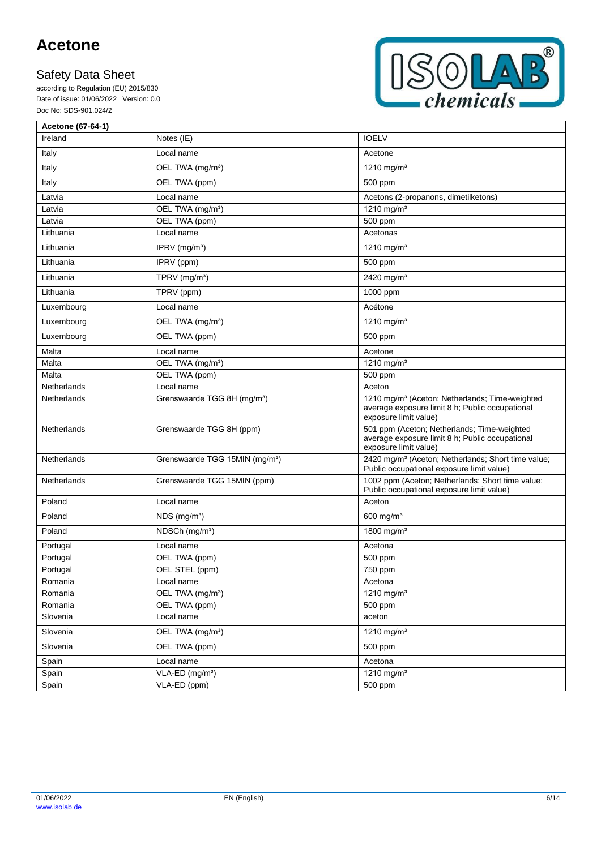according to Regulation (EU) 2015/830 Date of issue: 01/06/2022 Version: 0.0 Doc No: SDS-901.024/2



| Acetone (67-64-1)  |                                            |                                                                                                                                        |
|--------------------|--------------------------------------------|----------------------------------------------------------------------------------------------------------------------------------------|
| Ireland            | Notes (IE)                                 | <b>IOELV</b>                                                                                                                           |
| Italy              | Local name                                 | Acetone                                                                                                                                |
| Italy              | OEL TWA (mg/m <sup>3</sup> )               | 1210 mg/m <sup>3</sup>                                                                                                                 |
| Italy              | OEL TWA (ppm)                              | 500 ppm                                                                                                                                |
| Latvia             | Local name                                 | Acetons (2-propanons, dimetilketons)                                                                                                   |
| Latvia             | OEL TWA (mg/m <sup>3</sup> )               | 1210 mg/m <sup>3</sup>                                                                                                                 |
| Latvia             | OEL TWA (ppm)                              | 500 ppm                                                                                                                                |
| Lithuania          | Local name                                 | Acetonas                                                                                                                               |
| Lithuania          | IPRV $(mg/m3)$                             | 1210 mg/m <sup>3</sup>                                                                                                                 |
| Lithuania          | IPRV (ppm)                                 | 500 ppm                                                                                                                                |
| Lithuania          | TPRV (mg/m <sup>3</sup> )                  | 2420 mg/m <sup>3</sup>                                                                                                                 |
| Lithuania          | TPRV (ppm)                                 | 1000 ppm                                                                                                                               |
| Luxembourg         | Local name                                 | Acétone                                                                                                                                |
| Luxembourg         | OEL TWA (mg/m <sup>3</sup> )               | 1210 mg/m <sup>3</sup>                                                                                                                 |
| Luxembourg         | OEL TWA (ppm)                              | 500 ppm                                                                                                                                |
| Malta              | Local name                                 | Acetone                                                                                                                                |
| Malta              | OEL TWA (mg/m <sup>3</sup> )               | 1210 mg/m <sup>3</sup>                                                                                                                 |
| Malta              | OEL TWA (ppm)                              | 500 ppm                                                                                                                                |
| Netherlands        | Local name                                 | Aceton                                                                                                                                 |
| <b>Netherlands</b> | Grenswaarde TGG 8H (mg/m <sup>3</sup> )    | 1210 mg/m <sup>3</sup> (Aceton; Netherlands; Time-weighted<br>average exposure limit 8 h; Public occupational<br>exposure limit value) |
| Netherlands        | Grenswaarde TGG 8H (ppm)                   | 501 ppm (Aceton; Netherlands; Time-weighted<br>average exposure limit 8 h; Public occupational<br>exposure limit value)                |
| Netherlands        | Grenswaarde TGG 15MIN (mg/m <sup>3</sup> ) | 2420 mg/m <sup>3</sup> (Aceton; Netherlands; Short time value;<br>Public occupational exposure limit value)                            |
| Netherlands        | Grenswaarde TGG 15MIN (ppm)                | 1002 ppm (Aceton; Netherlands; Short time value;<br>Public occupational exposure limit value)                                          |
| Poland             | Local name                                 | Aceton                                                                                                                                 |
| Poland             | $NDS$ (mg/m <sup>3</sup> )                 | $600$ mg/m <sup>3</sup>                                                                                                                |
| Poland             | NDSCh (mg/m <sup>3</sup> )                 | 1800 mg/m <sup>3</sup>                                                                                                                 |
| Portugal           | Local name                                 | Acetona                                                                                                                                |
| Portugal           | OEL TWA (ppm)                              | 500 ppm                                                                                                                                |
| Portugal           | OEL STEL (ppm)                             | 750 ppm                                                                                                                                |
| Romania            | Local name                                 | Acetona                                                                                                                                |
| Romania            | OEL TWA (mg/m <sup>3</sup> )               | 1210 mg/m <sup>3</sup>                                                                                                                 |
| Romania            | OEL TWA (ppm)                              | 500 ppm                                                                                                                                |
| Slovenia           | Local name                                 | aceton                                                                                                                                 |
| Slovenia           | OEL TWA (mg/m <sup>3</sup> )               | 1210 mg/m <sup>3</sup>                                                                                                                 |
| Slovenia           | OEL TWA (ppm)                              | 500 ppm                                                                                                                                |
| Spain              | Local name                                 | Acetona                                                                                                                                |
| Spain              | VLA-ED (mg/m <sup>3</sup> )                | 1210 mg/m <sup>3</sup>                                                                                                                 |
| Spain              | VLA-ED (ppm)                               | 500 ppm                                                                                                                                |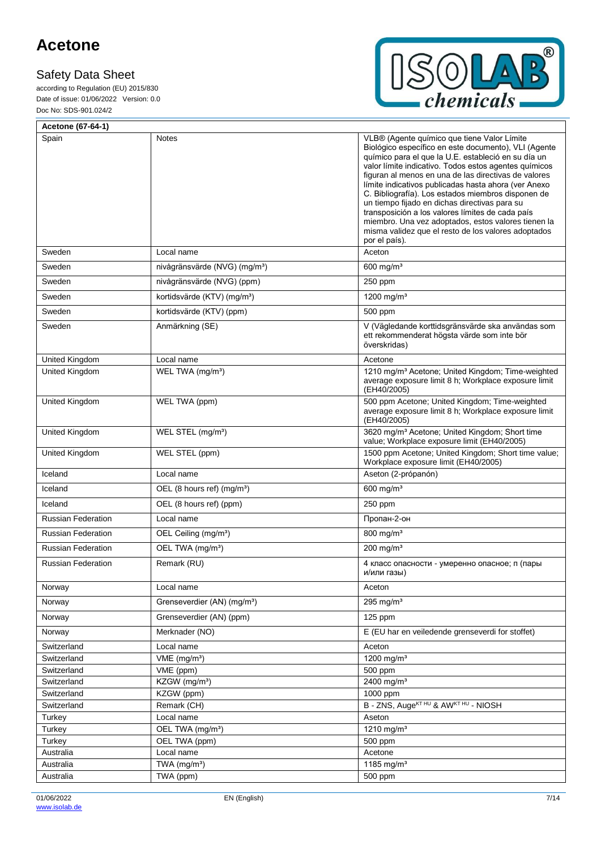F

according to Regulation (EU) 2015/830 Date of issue: 01/06/2022 Version: 0.0 Doc No: SDS-901.024/2



| Acetone (67-64-1)         |                                           |                                                                                                                                                                                                                                                                                                                                                                                                                                                                                                                                                                                                                               |
|---------------------------|-------------------------------------------|-------------------------------------------------------------------------------------------------------------------------------------------------------------------------------------------------------------------------------------------------------------------------------------------------------------------------------------------------------------------------------------------------------------------------------------------------------------------------------------------------------------------------------------------------------------------------------------------------------------------------------|
| Spain                     | Notes                                     | VLB® (Agente químico que tiene Valor Límite<br>Biológico específico en este documento), VLI (Agente<br>químico para el que la U.E. estableció en su día un<br>valor límite indicativo. Todos estos agentes químicos<br>figuran al menos en una de las directivas de valores<br>límite indicativos publicadas hasta ahora (ver Anexo<br>C. Bibliografía). Los estados miembros disponen de<br>un tiempo fijado en dichas directivas para su<br>transposición a los valores límites de cada país<br>miembro. Una vez adoptados, estos valores tienen la<br>misma validez que el resto de los valores adoptados<br>por el país). |
| Sweden                    | Local name                                | Aceton                                                                                                                                                                                                                                                                                                                                                                                                                                                                                                                                                                                                                        |
| Sweden                    | nivågränsvärde (NVG) (mg/m <sup>3</sup> ) | $600$ mg/m <sup>3</sup>                                                                                                                                                                                                                                                                                                                                                                                                                                                                                                                                                                                                       |
| Sweden                    | nivågränsvärde (NVG) (ppm)                | 250 ppm                                                                                                                                                                                                                                                                                                                                                                                                                                                                                                                                                                                                                       |
| Sweden                    | kortidsvärde (KTV) (mg/m <sup>3</sup> )   | 1200 mg/m <sup>3</sup>                                                                                                                                                                                                                                                                                                                                                                                                                                                                                                                                                                                                        |
| Sweden                    | kortidsvärde (KTV) (ppm)                  | 500 ppm                                                                                                                                                                                                                                                                                                                                                                                                                                                                                                                                                                                                                       |
| Sweden                    | Anmärkning (SE)                           | V (Vägledande korttidsgränsvärde ska användas som<br>ett rekommenderat högsta värde som inte bör<br>överskridas)                                                                                                                                                                                                                                                                                                                                                                                                                                                                                                              |
| United Kingdom            | Local name                                | Acetone                                                                                                                                                                                                                                                                                                                                                                                                                                                                                                                                                                                                                       |
| <b>United Kingdom</b>     | WEL TWA (mg/m <sup>3</sup> )              | 1210 mg/m <sup>3</sup> Acetone; United Kingdom; Time-weighted<br>average exposure limit 8 h; Workplace exposure limit<br>(EH40/2005)                                                                                                                                                                                                                                                                                                                                                                                                                                                                                          |
| United Kingdom            | WEL TWA (ppm)                             | 500 ppm Acetone; United Kingdom; Time-weighted<br>average exposure limit 8 h; Workplace exposure limit<br>(EH40/2005)                                                                                                                                                                                                                                                                                                                                                                                                                                                                                                         |
| United Kingdom            | WEL STEL (mg/m <sup>3</sup> )             | 3620 mg/m <sup>3</sup> Acetone; United Kingdom; Short time<br>value; Workplace exposure limit (EH40/2005)                                                                                                                                                                                                                                                                                                                                                                                                                                                                                                                     |
| United Kingdom            | WEL STEL (ppm)                            | 1500 ppm Acetone; United Kingdom; Short time value;<br>Workplace exposure limit (EH40/2005)                                                                                                                                                                                                                                                                                                                                                                                                                                                                                                                                   |
| Iceland                   | Local name                                | Aseton (2-própanón)                                                                                                                                                                                                                                                                                                                                                                                                                                                                                                                                                                                                           |
| Iceland                   | OEL (8 hours ref) (mg/m <sup>3</sup> )    | 600 mg/ $m3$                                                                                                                                                                                                                                                                                                                                                                                                                                                                                                                                                                                                                  |
| Iceland                   | OEL (8 hours ref) (ppm)                   | 250 ppm                                                                                                                                                                                                                                                                                                                                                                                                                                                                                                                                                                                                                       |
| <b>Russian Federation</b> | Local name                                | Пропан-2-он                                                                                                                                                                                                                                                                                                                                                                                                                                                                                                                                                                                                                   |
| <b>Russian Federation</b> | OEL Ceiling (mg/m <sup>3</sup> )          | 800 mg/m <sup>3</sup>                                                                                                                                                                                                                                                                                                                                                                                                                                                                                                                                                                                                         |
| <b>Russian Federation</b> | OEL TWA (mg/m <sup>3</sup> )              | 200 mg/m <sup>3</sup>                                                                                                                                                                                                                                                                                                                                                                                                                                                                                                                                                                                                         |
| <b>Russian Federation</b> | Remark (RU)                               | 4 класс опасности - умеренно опасное; п (пары<br>и/или газы)                                                                                                                                                                                                                                                                                                                                                                                                                                                                                                                                                                  |
| Norway                    | Local name                                | Aceton                                                                                                                                                                                                                                                                                                                                                                                                                                                                                                                                                                                                                        |
| Norway                    | Grenseverdier (AN) (mg/m <sup>3</sup> )   | 295 mg/ $m3$                                                                                                                                                                                                                                                                                                                                                                                                                                                                                                                                                                                                                  |
| Norway                    | Grenseverdier (AN) (ppm)                  | 125 ppm                                                                                                                                                                                                                                                                                                                                                                                                                                                                                                                                                                                                                       |
| Norway                    | Merknader (NO)                            | E (EU har en veiledende grenseverdi for stoffet)                                                                                                                                                                                                                                                                                                                                                                                                                                                                                                                                                                              |
| Switzerland               | Local name                                | Aceton                                                                                                                                                                                                                                                                                                                                                                                                                                                                                                                                                                                                                        |
| Switzerland               | $VME$ (mg/m <sup>3</sup> )                | 1200 mg/m <sup>3</sup>                                                                                                                                                                                                                                                                                                                                                                                                                                                                                                                                                                                                        |
| Switzerland               | VME (ppm)                                 | 500 ppm                                                                                                                                                                                                                                                                                                                                                                                                                                                                                                                                                                                                                       |
| Switzerland               | KZGW (mg/m <sup>3</sup> )                 | 2400 mg/m <sup>3</sup>                                                                                                                                                                                                                                                                                                                                                                                                                                                                                                                                                                                                        |
| Switzerland               | KZGW (ppm)                                | 1000 ppm                                                                                                                                                                                                                                                                                                                                                                                                                                                                                                                                                                                                                      |
| Switzerland               | Remark (CH)                               | B - ZNS, Auge <sup>KT HU</sup> & AWKT HU - NIOSH                                                                                                                                                                                                                                                                                                                                                                                                                                                                                                                                                                              |
| Turkey                    | Local name                                | Aseton                                                                                                                                                                                                                                                                                                                                                                                                                                                                                                                                                                                                                        |
| Turkey                    | OEL TWA (mg/m <sup>3</sup> )              | 1210 mg/m $3$                                                                                                                                                                                                                                                                                                                                                                                                                                                                                                                                                                                                                 |
| Turkey                    | OEL TWA (ppm)                             | 500 ppm                                                                                                                                                                                                                                                                                                                                                                                                                                                                                                                                                                                                                       |
| Australia                 | Local name                                | Acetone                                                                                                                                                                                                                                                                                                                                                                                                                                                                                                                                                                                                                       |
| Australia                 | TWA (mg/m <sup>3</sup> )                  | 1185 mg/m <sup>3</sup>                                                                                                                                                                                                                                                                                                                                                                                                                                                                                                                                                                                                        |
| Australia                 | TWA (ppm)                                 | 500 ppm                                                                                                                                                                                                                                                                                                                                                                                                                                                                                                                                                                                                                       |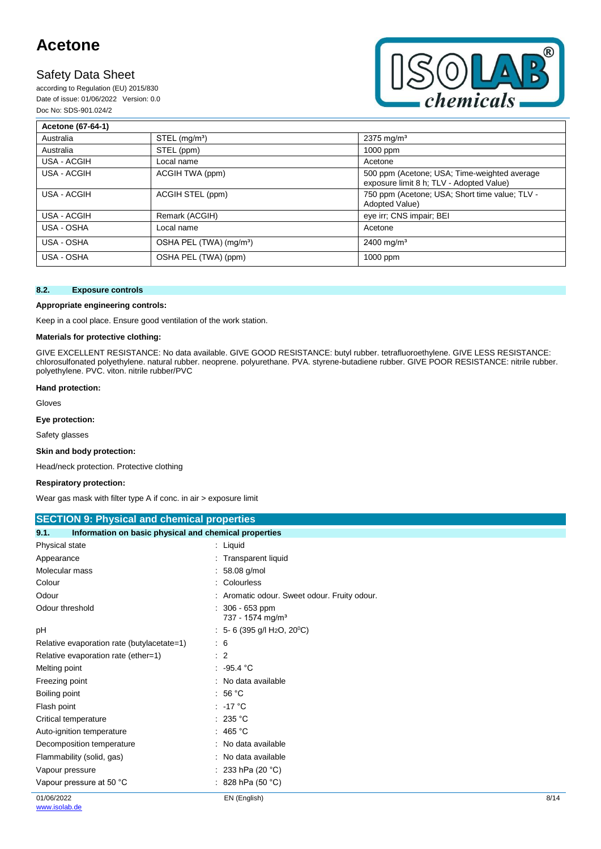### **Safety Data Sheet**

according to Regulation (EU) 2015/830 Date of issue: 01/06/2022 Version: 0.0 Doc No: SDS-901.024/2



| Acetone (67-64-1) |                                     |                                                                                          |
|-------------------|-------------------------------------|------------------------------------------------------------------------------------------|
| Australia         | $STEL$ (mg/m <sup>3</sup> )         | $2375 \,\mathrm{mq/m^3}$                                                                 |
| Australia         | STEL (ppm)                          | 1000 ppm                                                                                 |
| USA - ACGIH       | Local name                          | Acetone                                                                                  |
| USA - ACGIH       | ACGIH TWA (ppm)                     | 500 ppm (Acetone; USA; Time-weighted average<br>exposure limit 8 h; TLV - Adopted Value) |
| USA - ACGIH       | ACGIH STEL (ppm)                    | 750 ppm (Acetone; USA; Short time value; TLV -<br>Adopted Value)                         |
| USA - ACGIH       | Remark (ACGIH)                      | eye irr; CNS impair; BEI                                                                 |
| USA - OSHA        | Local name                          | Acetone                                                                                  |
| USA - OSHA        | OSHA PEL (TWA) (mg/m <sup>3</sup> ) | $2400$ mg/m <sup>3</sup>                                                                 |
| USA - OSHA        | OSHA PEL (TWA) (ppm)                | 1000 ppm                                                                                 |

### **8.2. Exposure controls**

### **Appropriate engineering controls:**

Keep in a cool place. Ensure good ventilation of the work station.

### **Materials for protective clothing:**

GIVE EXCELLENT RESISTANCE: No data available. GIVE GOOD RESISTANCE: butyl rubber. tetrafluoroethylene. GIVE LESS RESISTANCE: chlorosulfonated polyethylene. natural rubber. neoprene. polyurethane. PVA. styrene-butadiene rubber. GIVE POOR RESISTANCE: nitrile rubber. polyethylene. PVC. viton. nitrile rubber/PVC

#### **Hand protection:**

Gloves

**Eye protection:**

Safety glasses

### **Skin and body protection:**

Head/neck protection. Protective clothing

### **Respiratory protection:**

Wear gas mask with filter type A if conc. in air > exposure limit

| <b>SECTION 9: Physical and chemical properties</b> |  |  |  |  |
|----------------------------------------------------|--|--|--|--|
|----------------------------------------------------|--|--|--|--|

| 9.1.                                       | Information on basic physical and chemical properties |      |  |  |  |
|--------------------------------------------|-------------------------------------------------------|------|--|--|--|
| Physical state                             | $:$ Liquid                                            |      |  |  |  |
| Appearance                                 | : Transparent liquid                                  |      |  |  |  |
| Molecular mass                             | $: 58.08$ g/mol                                       |      |  |  |  |
| Colour                                     | : Colourless                                          |      |  |  |  |
| Odour                                      | : Aromatic odour. Sweet odour. Fruity odour.          |      |  |  |  |
| Odour threshold                            | 306 - 653 ppm<br>737 - 1574 mg/m <sup>3</sup>         |      |  |  |  |
| рH                                         | : 5- 6 (395 g/l H <sub>2</sub> O, 20 <sup>°</sup> C)  |      |  |  |  |
| Relative evaporation rate (butylacetate=1) | : 6                                                   |      |  |  |  |
| Relative evaporation rate (ether=1)        | : 2                                                   |      |  |  |  |
| Melting point                              | .95.4 °C                                              |      |  |  |  |
| Freezing point                             | : No data available                                   |      |  |  |  |
| Boiling point                              | : 56 $^{\circ}$ C                                     |      |  |  |  |
| Flash point                                | $: -17 °C$                                            |      |  |  |  |
| Critical temperature                       | : 235 °C                                              |      |  |  |  |
| Auto-ignition temperature                  | : 465 °C                                              |      |  |  |  |
| Decomposition temperature                  | : No data available                                   |      |  |  |  |
| Flammability (solid, gas)                  | : No data available                                   |      |  |  |  |
| Vapour pressure                            | 233 hPa (20 °C)                                       |      |  |  |  |
| Vapour pressure at 50 °C                   | : 828 hPa (50 $^{\circ}$ C)                           |      |  |  |  |
| 01/06/2022                                 | EN (English)                                          | 8/14 |  |  |  |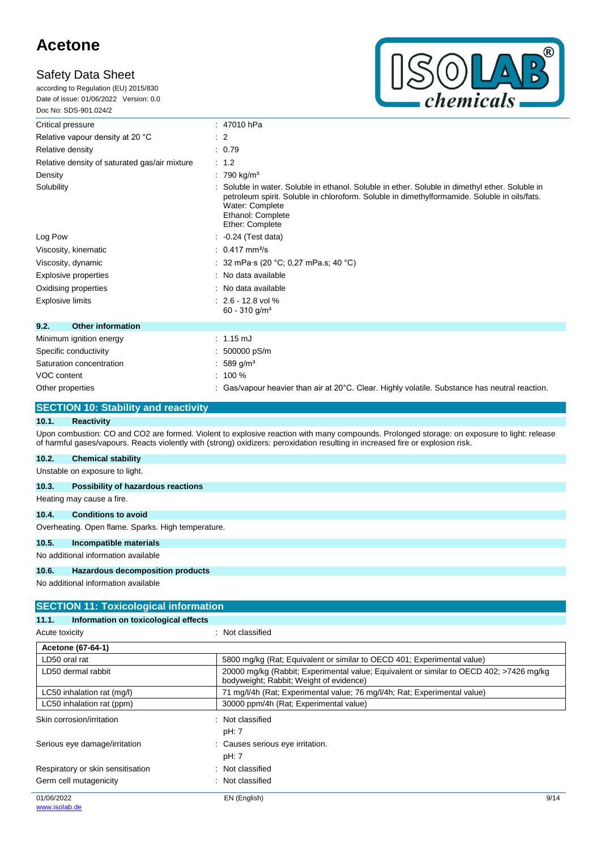according to Regulation (EU) 2015/830 Date of issue: 01/06/2022 Version: 0.0 Doc No: SDS-901.024/2



| Critical pressure                             | : 47010 hPa                                                                                                                                                                                                                                              |  |  |
|-----------------------------------------------|----------------------------------------------------------------------------------------------------------------------------------------------------------------------------------------------------------------------------------------------------------|--|--|
| Relative vapour density at 20 °C              | $\therefore$ 2                                                                                                                                                                                                                                           |  |  |
| Relative density                              | : 0.79                                                                                                                                                                                                                                                   |  |  |
| Relative density of saturated gas/air mixture | : 1.2                                                                                                                                                                                                                                                    |  |  |
| Density                                       | $: 790$ kg/m <sup>3</sup>                                                                                                                                                                                                                                |  |  |
| Solubility                                    | Soluble in water. Soluble in ethanol. Soluble in ether. Soluble in dimethyl ether. Soluble in<br>petroleum spirit. Soluble in chloroform. Soluble in dimethylformamide. Soluble in oils/fats.<br>Water: Complete<br>Ethanol: Complete<br>Ether: Complete |  |  |
| Log Pow                                       | $\therefore$ -0.24 (Test data)                                                                                                                                                                                                                           |  |  |
| Viscosity, kinematic                          | $: 0.417$ mm <sup>2</sup> /s                                                                                                                                                                                                                             |  |  |
| Viscosity, dynamic                            | : 32 mPa·s (20 °C; 0,27 mPa.s; 40 °C)                                                                                                                                                                                                                    |  |  |
| Explosive properties                          | : No data available                                                                                                                                                                                                                                      |  |  |
| Oxidising properties                          | : No data available                                                                                                                                                                                                                                      |  |  |
| <b>Explosive limits</b>                       | $: 2.6 - 12.8$ vol %<br>$60 - 310$ g/m <sup>3</sup>                                                                                                                                                                                                      |  |  |
| 9.2.<br><b>Other information</b>              |                                                                                                                                                                                                                                                          |  |  |
| Minimum ignition energy                       | $: 1.15 \text{ mJ}$                                                                                                                                                                                                                                      |  |  |
| Specific conductivity                         | $: 500000$ pS/m                                                                                                                                                                                                                                          |  |  |
| Saturation concentration                      | $: 589$ g/m <sup>3</sup>                                                                                                                                                                                                                                 |  |  |
| VOC content                                   | $: 100 \%$                                                                                                                                                                                                                                               |  |  |
| Other properties                              | : Gas/vapour heavier than air at $20^{\circ}$ C. Clear. Highly volatile. Substance has neutral reaction.                                                                                                                                                 |  |  |

### **SECTION 10: Stability and reactivity**

### **10.1. Reactivity**

Upon combustion: CO and CO2 are formed. Violent to explosive reaction with many compounds. Prolonged storage: on exposure to light: release of harmful gases/vapours. Reacts violently with (strong) oxidizers: peroxidation resulting in increased fire or explosion risk.

### **10.2. Chemical stability**

Unstable on exposure to light.

### **10.3. Possibility of hazardous reactions**

Heating may cause a fire.

### **10.4. Conditions to avoid**

Overheating. Open flame. Sparks. High temperature.

### **10.5. Incompatible materials**

No additional information available

### **10.6. Hazardous decomposition products**

| <b>SECTION 11: Toxicological information</b>  |                                                                                                                                    |      |
|-----------------------------------------------|------------------------------------------------------------------------------------------------------------------------------------|------|
| Information on toxicological effects<br>11.1. |                                                                                                                                    |      |
| Acute toxicity                                | : Not classified                                                                                                                   |      |
| Acetone (67-64-1)                             |                                                                                                                                    |      |
| LD50 oral rat                                 | 5800 mg/kg (Rat; Equivalent or similar to OECD 401; Experimental value)                                                            |      |
| LD50 dermal rabbit                            | 20000 mg/kg (Rabbit; Experimental value; Equivalent or similar to OECD 402; >7426 mg/kg<br>bodyweight; Rabbit; Weight of evidence) |      |
| LC50 inhalation rat (mg/l)                    | 71 mg/l/4h (Rat; Experimental value; 76 mg/l/4h; Rat; Experimental value)                                                          |      |
| LC50 inhalation rat (ppm)                     | 30000 ppm/4h (Rat; Experimental value)                                                                                             |      |
| Skin corrosion/irritation                     | : Not classified<br>pH: 7                                                                                                          |      |
| Serious eye damage/irritation                 | : Causes serious eye irritation.<br>pH: 7                                                                                          |      |
| Respiratory or skin sensitisation             | : Not classified                                                                                                                   |      |
| Germ cell mutagenicity                        | : Not classified                                                                                                                   |      |
| 01/06/2022<br>www.isolab.de                   | EN (English)                                                                                                                       | 9/14 |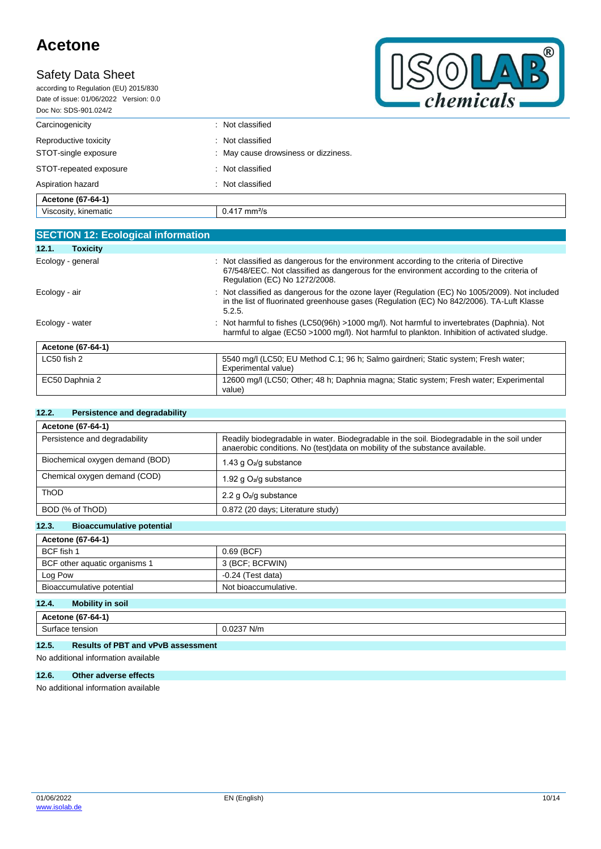## **Safety Data Sheet**

according to Regulation (EU) 2015/830 Date of issue: 01/06/2022 Version: 0.0 Doc No: SDS-901.024/2



| : Not classified                     |  |
|--------------------------------------|--|
| : Not classified                     |  |
| : May cause drowsiness or dizziness. |  |
| : Not classified                     |  |
| Not classified<br>٠.                 |  |
|                                      |  |
| $0.417$ mm <sup>2</sup> /s           |  |
|                                      |  |

| <b>SECTION 12: Ecological information</b> |                                                                                                                                                                                                                     |
|-------------------------------------------|---------------------------------------------------------------------------------------------------------------------------------------------------------------------------------------------------------------------|
| 12.1.<br><b>Toxicity</b>                  |                                                                                                                                                                                                                     |
| Ecology - general                         | Not classified as dangerous for the environment according to the criteria of Directive<br>67/548/EEC. Not classified as dangerous for the environment according to the criteria of<br>Regulation (EC) No 1272/2008. |
| Ecology - air                             | Not classified as dangerous for the ozone layer (Regulation (EC) No 1005/2009). Not included<br>in the list of fluorinated greenhouse gases (Regulation (EC) No 842/2006). TA-Luft Klasse<br>5.2.5.                 |
| Ecology - water                           | Not harmful to fishes (LC50(96h) >1000 mg/l). Not harmful to invertebrates (Daphnia). Not<br>harmful to algae (EC50 >1000 mg/l). Not harmful to plankton. Inhibition of activated sludge.                           |
| Acetone (67-64-1)                         |                                                                                                                                                                                                                     |
| $LC50$ fish 2                             | 5540 mg/l (LC50; EU Method C.1; 96 h; Salmo gairdneri; Static system; Fresh water;<br>Experimental value)                                                                                                           |
| EC50 Daphnia 2                            | 12600 mg/l (LC50; Other; 48 h; Daphnia magna; Static system; Fresh water; Experimental<br>value)                                                                                                                    |

### **12.2. Persistence and degradability**

| Acetone (67-64-1)               |                                                                                                                                                                           |  |  |
|---------------------------------|---------------------------------------------------------------------------------------------------------------------------------------------------------------------------|--|--|
| Persistence and degradability   | Readily biodegradable in water. Biodegradable in the soil. Biodegradable in the soil under<br>anaerobic conditions. No (test)data on mobility of the substance available. |  |  |
| Biochemical oxygen demand (BOD) | 1.43 g $O_2$ /g substance                                                                                                                                                 |  |  |
| Chemical oxygen demand (COD)    | 1.92 g $O_2$ /g substance                                                                                                                                                 |  |  |
| <b>ThOD</b>                     | 2.2 g $O_2$ /g substance                                                                                                                                                  |  |  |
| BOD (% of ThOD)                 | 0.872 (20 days; Literature study)                                                                                                                                         |  |  |

### **12.3. Bioaccumulative potential**

| Acetone (67-64-1)             |                      |  |
|-------------------------------|----------------------|--|
| BCF fish 1                    | $0.69$ (BCF)         |  |
| BCF other aquatic organisms 1 | 3 (BCF; BCFWIN)      |  |
| Log Pow                       | $-0.24$ (Test data)  |  |
| Bioaccumulative potential     | Not bioaccumulative. |  |
| 12A<br>Mobility in soil       |                      |  |

### **12.4. Mobility in soil**

| $10-$<br>. .<br>/-64-<br>tone<br>10.                   |                                     |  |
|--------------------------------------------------------|-------------------------------------|--|
| tension<br>---<br>surt.<br>$-10$<br>iaud<br>. נכה<br>. | $\sim$ $\sim$ $\sim$<br>N/m<br>.uz. |  |

### **12.5. Results of PBT and vPvB assessment**

No additional information available

### **12.6. Other adverse effects**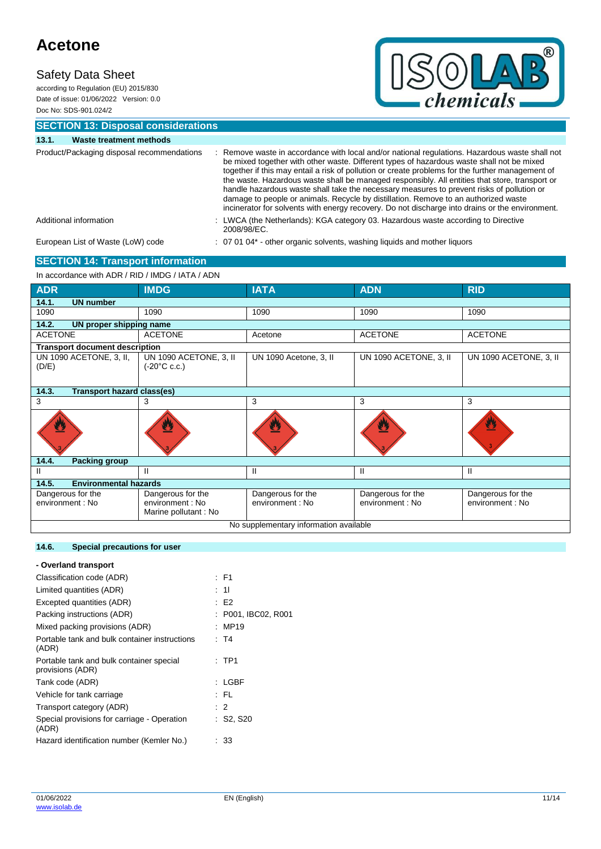### **Safety Data Sheet**

according to Regulation (EU) 2015/830 Date of issue: 01/06/2022 Version: 0.0 Doc No: SDS-901.024/2



**SECTION 13: Disposal considerations**

| 13.1.                                      | Waste treatment methods                  |                                                                                                                                                                                                                                                                                                                                                                                                                                                                                                                                                                                                                                                                                        |
|--------------------------------------------|------------------------------------------|----------------------------------------------------------------------------------------------------------------------------------------------------------------------------------------------------------------------------------------------------------------------------------------------------------------------------------------------------------------------------------------------------------------------------------------------------------------------------------------------------------------------------------------------------------------------------------------------------------------------------------------------------------------------------------------|
| Product/Packaging disposal recommendations |                                          | Remove waste in accordance with local and/or national regulations. Hazardous waste shall not<br>be mixed together with other waste. Different types of hazardous waste shall not be mixed<br>together if this may entail a risk of pollution or create problems for the further management of<br>the waste. Hazardous waste shall be managed responsibly. All entities that store, transport or<br>handle hazardous waste shall take the necessary measures to prevent risks of pollution or<br>damage to people or animals. Recycle by distillation. Remove to an authorized waste<br>incinerator for solvents with energy recovery. Do not discharge into drains or the environment. |
|                                            | Additional information                   | : LWCA (the Netherlands): KGA category 03. Hazardous waste according to Directive<br>2008/98/EC.                                                                                                                                                                                                                                                                                                                                                                                                                                                                                                                                                                                       |
|                                            | European List of Waste (LoW) code        | : 07 01 04* - other organic solvents, washing liquids and mother liquors                                                                                                                                                                                                                                                                                                                                                                                                                                                                                                                                                                                                               |
|                                            | <b>SECTION 14: Transport information</b> |                                                                                                                                                                                                                                                                                                                                                                                                                                                                                                                                                                                                                                                                                        |

### In accordance with ADR / RID / IMDG / IATA / ADN

| <b>ADR</b>                                 | <b>IMDG</b>                                      | <b>IATA</b>            | <b>ADN</b>             | <b>RID</b>             |  |  |
|--------------------------------------------|--------------------------------------------------|------------------------|------------------------|------------------------|--|--|
| 14.1.<br><b>UN number</b>                  |                                                  |                        |                        |                        |  |  |
| 1090                                       | 1090                                             | 1090                   | 1090                   | 1090                   |  |  |
| 14.2.<br>UN proper shipping name           |                                                  |                        |                        |                        |  |  |
| <b>ACETONE</b>                             | <b>ACETONE</b>                                   | Acetone                | <b>ACETONE</b>         | <b>ACETONE</b>         |  |  |
| <b>Transport document description</b>      |                                                  |                        |                        |                        |  |  |
| UN 1090 ACETONE, 3, II,<br>(D/E)           | UN 1090 ACETONE, 3, II<br>$(-20^{\circ}C \c.c.)$ | UN 1090 Acetone, 3, II | UN 1090 ACETONE, 3, II | UN 1090 ACETONE, 3, II |  |  |
| 14.3.<br><b>Transport hazard class(es)</b> |                                                  |                        |                        |                        |  |  |
| 3                                          | 3                                                | 3                      | 3                      | 3                      |  |  |
|                                            |                                                  |                        |                        | ₩                      |  |  |
| 14.4.<br><b>Packing group</b>              |                                                  |                        |                        |                        |  |  |
| Ш                                          | Ш                                                | Ш                      | Ш                      | Ш                      |  |  |
| 14.5.<br><b>Environmental hazards</b>      |                                                  |                        |                        |                        |  |  |
| Dangerous for the                          | Dangerous for the                                | Dangerous for the      | Dangerous for the      | Dangerous for the      |  |  |
| environment : No                           | environment : No<br>Marine pollutant: No         | environment : No       | environment : No       | environment : No       |  |  |
| No supplementary information available     |                                                  |                        |                        |                        |  |  |

### **14.6. Special precautions for user**

| : F1                 |
|----------------------|
| : 11                 |
| E2                   |
| : P001, IBC02, R001  |
| : MP19               |
| : T4                 |
| : TP1                |
| : LGBF               |
| : FL                 |
| $\therefore$ 2       |
| $\therefore$ S2, S20 |
| 33                   |
|                      |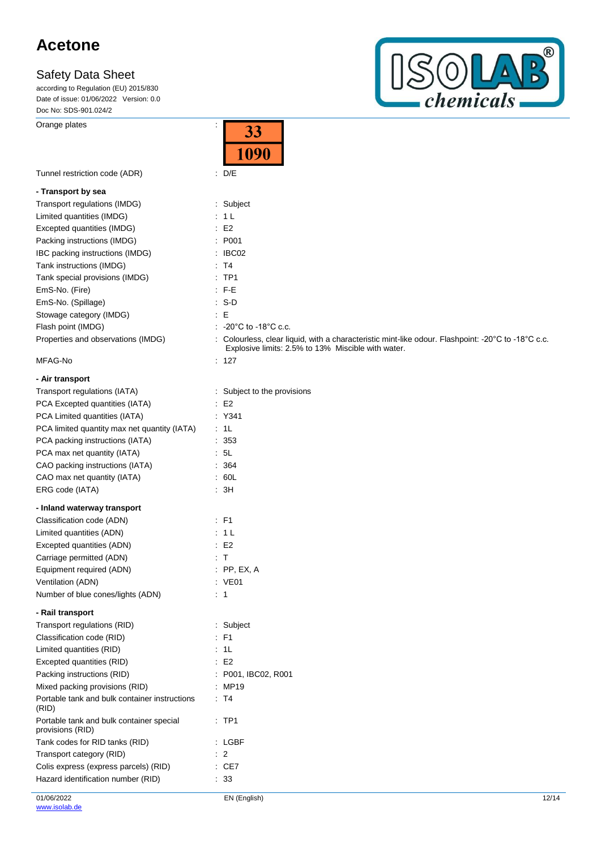according to Regulation (EU) 2015/830 Date of issue: 01/06/2022 Version: 0.0 Doc No: SDS-901.024/2

Orange plates in the contract of the contract of the contract of the contract of the contract of the contract of the contract of the contract of the contract of the contract of the contract of the contract of the contract



|                                                              | 33<br>1090                                                                                                                                               |
|--------------------------------------------------------------|----------------------------------------------------------------------------------------------------------------------------------------------------------|
| Tunnel restriction code (ADR)                                | $\therefore$ D/E                                                                                                                                         |
| - Transport by sea                                           |                                                                                                                                                          |
| Transport regulations (IMDG)                                 | : Subject                                                                                                                                                |
| Limited quantities (IMDG)                                    | : 1 L                                                                                                                                                    |
| Excepted quantities (IMDG)                                   | : E2                                                                                                                                                     |
| Packing instructions (IMDG)                                  | : P001                                                                                                                                                   |
| IBC packing instructions (IMDG)                              | $\therefore$ IBC02                                                                                                                                       |
| Tank instructions (IMDG)                                     | : T4                                                                                                                                                     |
| Tank special provisions (IMDG)                               | $:$ TP1                                                                                                                                                  |
| EmS-No. (Fire)                                               | : F-E                                                                                                                                                    |
| EmS-No. (Spillage)                                           | $: S-D$                                                                                                                                                  |
| Stowage category (IMDG)                                      | E                                                                                                                                                        |
| Flash point (IMDG)                                           | : $-20^{\circ}$ C to -18 $^{\circ}$ C c.c.                                                                                                               |
| Properties and observations (IMDG)                           | : Colourless, clear liquid, with a characteristic mint-like odour. Flashpoint: -20°C to -18°C c.c.<br>Explosive limits: 2.5% to 13% Miscible with water. |
| MFAG-No                                                      | : 127                                                                                                                                                    |
| - Air transport                                              |                                                                                                                                                          |
| Transport regulations (IATA)                                 | : Subject to the provisions                                                                                                                              |
| PCA Excepted quantities (IATA)                               | E2                                                                                                                                                       |
| PCA Limited quantities (IATA)                                | : Y341                                                                                                                                                   |
| PCA limited quantity max net quantity (IATA)                 | : 1L                                                                                                                                                     |
| PCA packing instructions (IATA)                              | : 353                                                                                                                                                    |
| PCA max net quantity (IATA)                                  | 5L                                                                                                                                                       |
| CAO packing instructions (IATA)                              | : 364                                                                                                                                                    |
| CAO max net quantity (IATA)                                  | : 60L                                                                                                                                                    |
| ERG code (IATA)                                              | : 3H                                                                                                                                                     |
| - Inland waterway transport                                  |                                                                                                                                                          |
| Classification code (ADN)                                    | : F1                                                                                                                                                     |
| Limited quantities (ADN)                                     | : 1 L                                                                                                                                                    |
| Excepted quantities (ADN)                                    | E2                                                                                                                                                       |
| Carriage permitted (ADN)                                     | : T                                                                                                                                                      |
| Equipment required (ADN)                                     | $:$ PP, EX, A                                                                                                                                            |
| Ventilation (ADN)                                            | : VE01                                                                                                                                                   |
| Number of blue cones/lights (ADN)                            | : 1                                                                                                                                                      |
| - Rail transport                                             |                                                                                                                                                          |
| Transport regulations (RID)                                  | : Subject                                                                                                                                                |
| Classification code (RID)                                    | F1                                                                                                                                                       |
| Limited quantities (RID)                                     | 1L                                                                                                                                                       |
| Excepted quantities (RID)                                    | E2                                                                                                                                                       |
| Packing instructions (RID)                                   | : P001, IBC02, R001                                                                                                                                      |
| Mixed packing provisions (RID)                               | : MP19                                                                                                                                                   |
| Portable tank and bulk container instructions<br>(RID)       | : T4                                                                                                                                                     |
| Portable tank and bulk container special<br>provisions (RID) | $:$ TP1                                                                                                                                                  |
| Tank codes for RID tanks (RID)                               | : LGBF                                                                                                                                                   |
| Transport category (RID)                                     | $\therefore$ 2                                                                                                                                           |
| Colis express (express parcels) (RID)                        | $\therefore$ CE7                                                                                                                                         |
| Hazard identification number (RID)                           | : 33                                                                                                                                                     |

 $\overline{\phantom{a}}$ 

T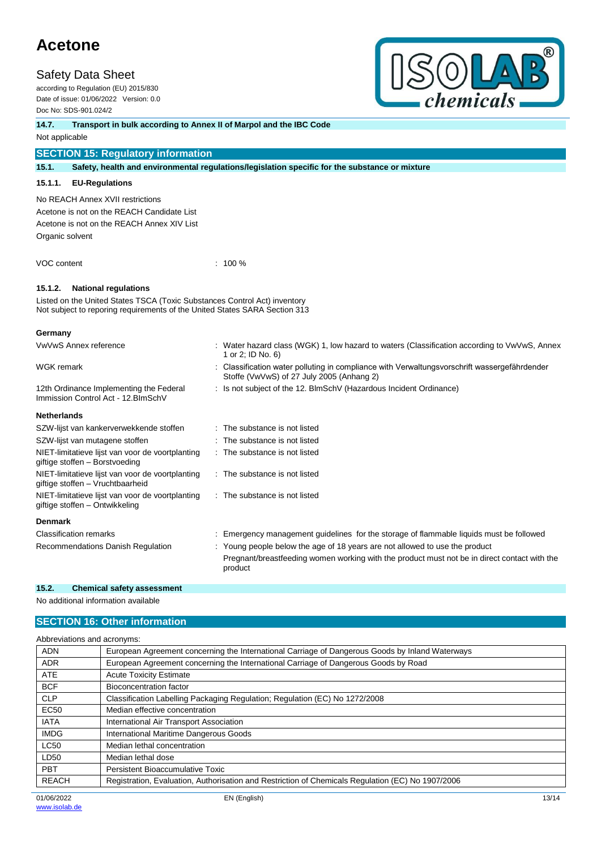### **Safety Data Sheet**

according to Regulation (EU) 2015/830 Date of issue: 01/06/2022 Version: 0.0 Doc No: SDS-901.024/2



### **14.7. Transport in bulk according to Annex II of Marpol and the IBC Code**

Not applicable

### **SECTION 15: Regulatory information**

**15.1. Safety, health and environmental regulations/legislation specific for the substance or mixture**

### **15.1.1. EU-Regulations**

No REACH Annex XVII restrictions

Acetone is not on the REACH Candidate List Acetone is not on the REACH Annex XIV List Organic solvent

VOC content : 100 %

### **15.1.2. National regulations**

Listed on the United States TSCA (Toxic Substances Control Act) inventory Not subject to reporing requirements of the United States SARA Section 313

### **Germany**

| VwVwS Annex reference                                                                | : Water hazard class (WGK) 1, low hazard to waters (Classification according to VwVwS, Annex<br>1 or 2; ID No. 6)                       |
|--------------------------------------------------------------------------------------|-----------------------------------------------------------------------------------------------------------------------------------------|
| <b>WGK remark</b>                                                                    | Classification water polluting in compliance with Verwaltungsvorschrift wassergefährdender<br>Stoffe (VwVwS) of 27 July 2005 (Anhang 2) |
| 12th Ordinance Implementing the Federal<br>Immission Control Act - 12. BlmSchV       | : Is not subject of the 12. BlmSchV (Hazardous Incident Ordinance)                                                                      |
| <b>Netherlands</b>                                                                   |                                                                                                                                         |
| SZW-lijst van kankerverwekkende stoffen                                              | : The substance is not listed                                                                                                           |
| SZW-lijst van mutagene stoffen                                                       | : The substance is not listed                                                                                                           |
| NIET-limitatieve lijst van voor de voortplanting<br>giftige stoffen - Borstvoeding   | : The substance is not listed                                                                                                           |
| NIET-limitatieve lijst van voor de voortplanting<br>giftige stoffen - Vruchtbaarheid | : The substance is not listed                                                                                                           |
| NIET-limitatieve lijst van voor de voortplanting<br>giftige stoffen – Ontwikkeling   | : The substance is not listed                                                                                                           |
| <b>Denmark</b>                                                                       |                                                                                                                                         |
| <b>Classification remarks</b>                                                        | Emergency management guidelines for the storage of flammable liquids must be followed                                                   |
| Recommendations Danish Regulation                                                    | : Young people below the age of 18 years are not allowed to use the product                                                             |
|                                                                                      | Pregnant/breastfeeding women working with the product must not be in direct contact with the<br>product                                 |

### **15.2. Chemical safety assessment**

No additional information available

### **SECTION 16: Other information**

|              | Abbreviations and acronyms:                                                                       |  |  |
|--------------|---------------------------------------------------------------------------------------------------|--|--|
| <b>ADN</b>   | European Agreement concerning the International Carriage of Dangerous Goods by Inland Waterways   |  |  |
| <b>ADR</b>   | European Agreement concerning the International Carriage of Dangerous Goods by Road               |  |  |
| <b>ATE</b>   | <b>Acute Toxicity Estimate</b>                                                                    |  |  |
| <b>BCF</b>   | Bioconcentration factor                                                                           |  |  |
| <b>CLP</b>   | Classification Labelling Packaging Regulation; Regulation (EC) No 1272/2008                       |  |  |
| <b>EC50</b>  | Median effective concentration                                                                    |  |  |
| <b>IATA</b>  | International Air Transport Association                                                           |  |  |
| <b>IMDG</b>  | International Maritime Dangerous Goods                                                            |  |  |
| <b>LC50</b>  | Median lethal concentration                                                                       |  |  |
| LD50         | Median lethal dose                                                                                |  |  |
| <b>PBT</b>   | Persistent Bioaccumulative Toxic                                                                  |  |  |
| <b>REACH</b> | Registration, Evaluation, Authorisation and Restriction of Chemicals Regulation (EC) No 1907/2006 |  |  |
|              |                                                                                                   |  |  |